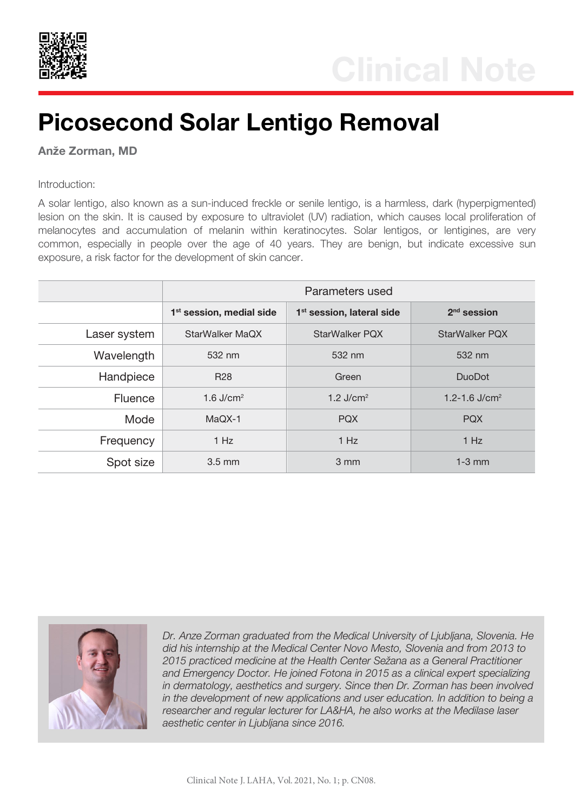

## Picosecond Solar Lentigo Removal

**Anže** Zorman, MD

Introduction:

A solar lentigo, also known as a sun-induced freckle or senile lentigo, is a harmless, dark (hyperpigmented) lesion on the skin. It is caused by exposure to ultraviolet (UV) radiation, which causes local proliferation of melanocytes and accumulation of melanin within keratinocytes. Solar lentigos, or lentigines, are very common, especially in people over the age of 40 years. They are benign, but indicate excessive sun exposure, a risk factor for the development of skin cancer.

|                | Parameters used                      |                                       |                       |
|----------------|--------------------------------------|---------------------------------------|-----------------------|
|                | 1 <sup>st</sup> session, medial side | 1 <sup>st</sup> session, lateral side | $2nd$ session         |
| Laser system   | StarWalker MaQX                      | <b>StarWalker PQX</b>                 | <b>StarWalker PQX</b> |
| Wavelength     | 532 nm                               | 532 nm                                | 532 nm                |
| Handpiece      | <b>R28</b>                           | Green                                 | <b>DuoDot</b>         |
| <b>Fluence</b> | 1.6 $J/cm2$                          | 1.2 $J/cm2$                           | 1.2-1.6 $J/cm2$       |
| Mode           | MaQX-1                               | <b>PQX</b>                            | <b>PQX</b>            |
| Frequency      | 1 Hz                                 | 1 Hz                                  | 1 Hz                  |
| Spot size      | $3.5 \text{ mm}$                     | 3 mm                                  | $1-3$ mm              |



*Dr. Anze Zorman graduated from the Medical University of Ljubljana, Slovenia. He did his internship at the Medical Center Novo Mesto, Slovenia and from 2013 to 2015 practiced medicine at the Health Center Sežana as a General Practitioner and Emergency Doctor. He joined Fotona in 2015 as a clinical expert specializing in dermatology, aesthetics and surgery. Since then Dr. Zorman has been involved in the development of new applications and user education. In addition to being a researcher and regular lecturer for LA&HA, he also works at the Medilase laser aesthetic center in Ljubljana since 2016.*